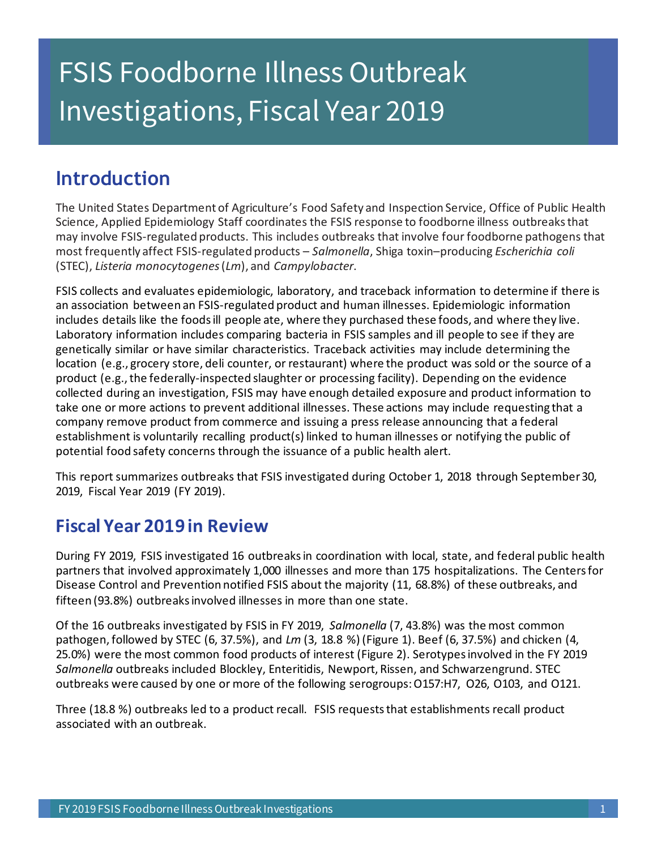# Investigations, Fiscal Year 2019 FSIS Foodborne Illness Outbreak

### **Introduction**

 The United States Department of Agriculture's Food Safety and Inspection Service, Office of Public Health may involve FSIS-regulated products. This includes outbreaks that involve four foodborne pathogens that Science, Applied Epidemiology Staff coordinates the FSIS response to foodborne illness outbreaks that most frequently affect FSIS-regulated products – *Salmonella*, Shiga toxin–producing *Escherichia coli*  (STEC), *Listeria monocytogenes* (*Lm*), and *Campylobacter*.

 FSIS collects and evaluates epidemiologic, laboratory, and traceback information to determine if there is includes details like the foods ill people ate, where they purchased these foods, and where they live. Laboratory information includes comparing bacteria in FSIS samples and ill people to see if they are genetically similar or have similar characteristics. Traceback activities may include determining the location (e.g., grocery store, deli counter, or restaurant) where the product was sold or the source of a collected during an investigation, FSIS may have enough detailed exposure and product information to take one or more actions to prevent additional illnesses. These actions may include requesting that a company remove product from commerce and issuing a press release announcing that a federal establishment is voluntarily recalling product(s) linked to human illnesses or notifying the public of potential food safety concerns through the issuance of a public health alert. an association between an FSIS-regulated product and human illnesses. Epidemiologic information product (e.g., the federally-inspected slaughter or processing facility). Depending on the evidence

 This report summarizes outbreaks that FSIS investigated during October 1, 2018 through September 30, 2019, Fiscal Year 2019 (FY 2019).

### **Fiscal Year 2019 in Review**

 During FY 2019, FSIS investigated 16 outbreaks in coordination with local, state, and federal public health partners that involved approximately 1,000 illnesses and more than 175 hospitalizations. The Centers for Disease Control and Prevention notified FSIS about the majority (11, 68.8%) of these outbreaks, and fifteen (93.8%) outbreaks involved illnesses in more than one state.

 Of the 16 outbreaks investigated by FSIS in FY 2019, *Salmonella* (7, 43.8%) was the most common  pathogen, followed by STEC (6, 37.5%), and *Lm* (3, 18.8 %) (Figure 1). Beef (6, 37.5%) and chicken (4, 25.0%) were the most common food products of interest (Figure 2). Serotypes involved in the FY 2019 outbreaks were caused by one or more of the following serogroups: O157:H7, O26, O103, and O121. *Salmonella* outbreaks included Blockley, Enteritidis, Newport, Rissen, and Schwarzengrund. STEC

 Three (18.8 %) outbreaks led to a product recall. FSIS requests that establishments recall product associated with an outbreak.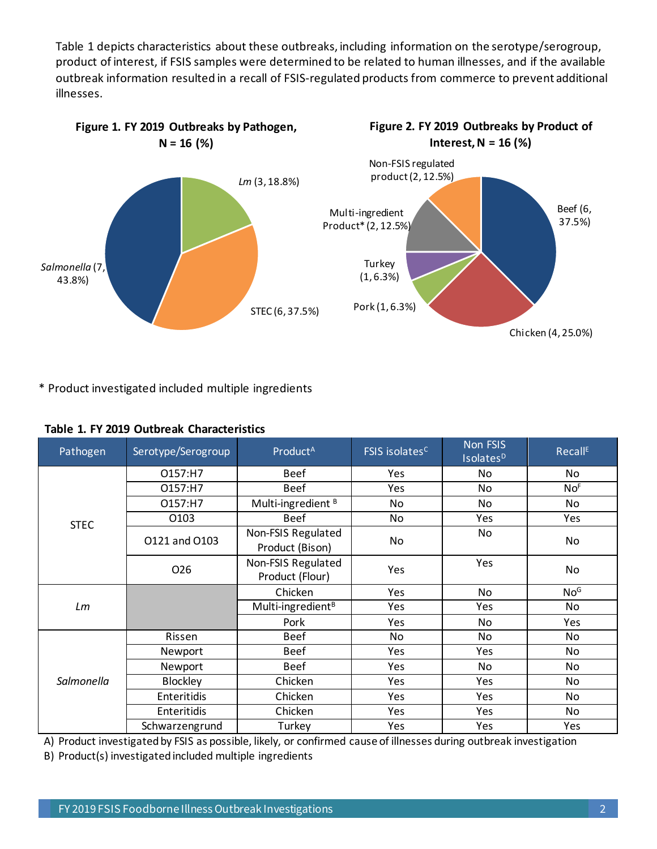Table 1 depicts characteristics about these outbreaks, including information on the serotype/serogroup, outbreak information resulted in a recall of FSIS-regulated products from commerce to prevent additional product of interest, if FSIS samples were determined to be related to human illnesses, and if the available illnesses.



\* Product investigated included multiple ingredients

| Pathogen    | Serotype/Serogroup | Product <sup>A</sup>                  | FSIS isolates <sup>C</sup> | Non FSIS<br><b>Isolates</b> <sup>D</sup> | <b>Recall<sup>E</sup></b> |
|-------------|--------------------|---------------------------------------|----------------------------|------------------------------------------|---------------------------|
| <b>STEC</b> | O157:H7            | <b>Beef</b>                           | Yes                        | No                                       | No                        |
|             | O157:H7            | <b>Beef</b>                           | Yes                        | No                                       | No <sup>F</sup>           |
|             | O157:H7            | Multi-ingredient <sup>B</sup>         | No                         | No                                       | No                        |
|             | 0103               | <b>Beef</b>                           | No                         | Yes                                      | Yes                       |
|             | 0121 and 0103      | Non-FSIS Regulated<br>Product (Bison) | No                         | No                                       | No                        |
|             | 026                | Non-FSIS Regulated<br>Product (Flour) | Yes                        | Yes                                      | No                        |
| Lm          |                    | Chicken                               | Yes                        | No                                       | No <sup>G</sup>           |
|             |                    | Multi-ingredient <sup>B</sup>         | Yes                        | Yes                                      | No                        |
|             |                    | Pork                                  | Yes                        | No                                       | Yes                       |
| Salmonella  | Rissen             | <b>Beef</b>                           | No                         | No                                       | No                        |
|             | Newport            | <b>Beef</b>                           | Yes                        | Yes                                      | No                        |
|             | Newport            | <b>Beef</b>                           | Yes                        | No                                       | No                        |
|             | Blockley           | Chicken                               | Yes                        | Yes                                      | No                        |
|             | Enteritidis        | Chicken                               | Yes                        | Yes                                      | No                        |
|             | Enteritidis        | Chicken                               | Yes                        | Yes                                      | No                        |
|             | Schwarzengrund     | Turkey                                | Yes                        | Yes                                      | Yes                       |

#### **Table 1. FY 2019 Outbreak Characteristics**

A) Product investigated by FSIS as possible, likely, or confirmed cause of illnesses during outbreak investigation

B) Product(s) investigated included multiple ingredients